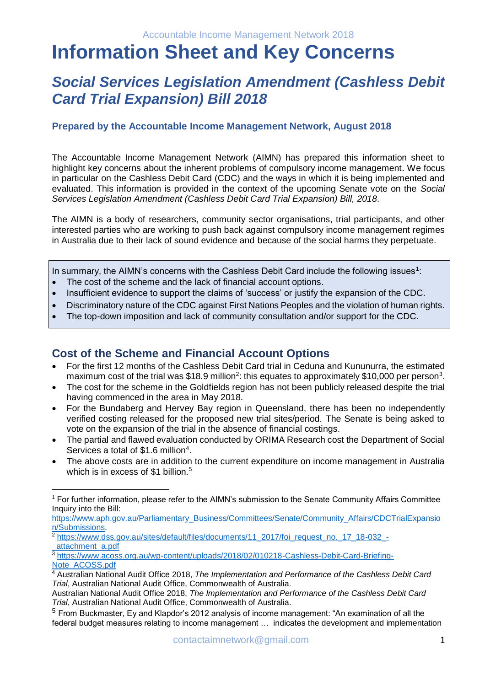# **Information Sheet and Key Concerns**

# *Social Services Legislation Amendment (Cashless Debit Card Trial Expansion) Bill 2018*

#### **Prepared by the Accountable Income Management Network, August 2018**

The Accountable Income Management Network (AIMN) has prepared this information sheet to highlight key concerns about the inherent problems of compulsory income management. We focus in particular on the Cashless Debit Card (CDC) and the ways in which it is being implemented and evaluated. This information is provided in the context of the upcoming Senate vote on the *Social Services Legislation Amendment (Cashless Debit Card Trial Expansion) Bill, 2018*.

The AIMN is a body of researchers, community sector organisations, trial participants, and other interested parties who are working to push back against compulsory income management regimes in Australia due to their lack of sound evidence and because of the social harms they perpetuate.

In summary, the AIMN's concerns with the Cashless Debit Card include the following issues<sup>1</sup>:

- The cost of the scheme and the lack of financial account options.
- Insufficient evidence to support the claims of 'success' or justify the expansion of the CDC.
- Discriminatory nature of the CDC against First Nations Peoples and the violation of human rights.
- The top-down imposition and lack of community consultation and/or support for the CDC.

## **Cost of the Scheme and Financial Account Options**

j

- For the first 12 months of the Cashless Debit Card trial in Ceduna and Kununurra, the estimated maximum cost of the trial was \$18.9 million<sup>2</sup>: this equates to approximately \$10,000 per person<sup>3</sup>.
- The cost for the scheme in the Goldfields region has not been publicly released despite the trial having commenced in the area in May 2018.
- For the Bundaberg and Hervey Bay region in Queensland, there has been no independently verified costing released for the proposed new trial sites/period. The Senate is being asked to vote on the expansion of the trial in the absence of financial costings.
- The partial and flawed evaluation conducted by ORIMA Research cost the Department of Social Services a total of \$1.6 million<sup>4</sup>.
- The above costs are in addition to the current expenditure on income management in Australia which is in excess of \$1 billion.<sup>5</sup>

<sup>&</sup>lt;sup>1</sup> For further information, please refer to the AIMN's submission to the Senate Community Affairs Committee Inquiry into the Bill:

[https://www.aph.gov.au/Parliamentary\\_Business/Committees/Senate/Community\\_Affairs/CDCTrialExpansio](https://www.aph.gov.au/Parliamentary_Business/Committees/Senate/Community_Affairs/CDCTrialExpansion/Submissions) [n/Submissions.](https://www.aph.gov.au/Parliamentary_Business/Committees/Senate/Community_Affairs/CDCTrialExpansion/Submissions)

<sup>&</sup>lt;sup>2</sup> [https://www.dss.gov.au/sites/default/files/documents/11\\_2017/foi\\_request\\_no.\\_17\\_18-032\\_-](https://www.dss.gov.au/sites/default/files/documents/11_2017/foi_request_no._17_18-032_-_attachment_a.pdf) [\\_attachment\\_a.pdf](https://www.dss.gov.au/sites/default/files/documents/11_2017/foi_request_no._17_18-032_-_attachment_a.pdf)

<sup>3</sup> [https://www.acoss.org.au/wp-content/uploads/2018/02/010218-Cashless-Debit-Card-Briefing-](https://www.acoss.org.au/wp-content/uploads/2018/02/010218-Cashless-Debit-Card-Briefing-Note_ACOSS.pdf)[Note\\_ACOSS.pdf](https://www.acoss.org.au/wp-content/uploads/2018/02/010218-Cashless-Debit-Card-Briefing-Note_ACOSS.pdf)

<sup>4</sup> Australian National Audit Office 2018, *The Implementation and Performance of the Cashless Debit Card Trial*, Australian National Audit Office, Commonwealth of Australia.

Australian National Audit Office 2018, *The Implementation and Performance of the Cashless Debit Card Trial*, Australian National Audit Office, Commonwealth of Australia.

<sup>5</sup> From Buckmaster, Ey and Klapdor's 2012 analysis of income management: "An examination of all the federal budget measures relating to income management … indicates the development and implementation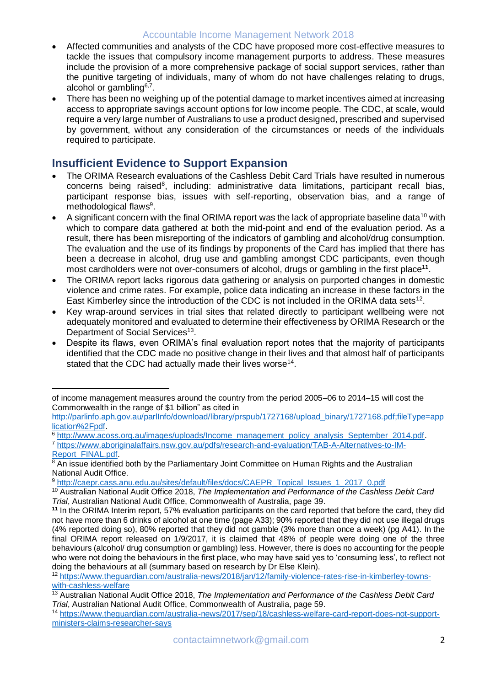#### Accountable Income Management Network 2018

- Affected communities and analysts of the CDC have proposed more cost-effective measures to tackle the issues that compulsory income management purports to address. These measures include the provision of a more comprehensive package of social support services, rather than the punitive targeting of individuals, many of whom do not have challenges relating to drugs, alcohol or gambling $6,7$ .
- There has been no weighing up of the potential damage to market incentives aimed at increasing access to appropriate savings account options for low income people. The CDC, at scale, would require a very large number of Australians to use a product designed, prescribed and supervised by government, without any consideration of the circumstances or needs of the individuals required to participate.

#### **Insufficient Evidence to Support Expansion**

 $\overline{a}$ 

- The ORIMA Research evaluations of the Cashless Debit Card Trials have resulted in numerous concerns being raised<sup>8</sup>, including: administrative data limitations, participant recall bias, participant response bias, issues with self-reporting, observation bias, and a range of methodological flaws<sup>9</sup>.
- A significant concern with the final ORIMA report was the lack of appropriate baseline data<sup>10</sup> with which to compare data gathered at both the mid-point and end of the evaluation period. As a result, there has been misreporting of the indicators of gambling and alcohol/drug consumption. The evaluation and the use of its findings by proponents of the Card has implied that there has been a decrease in alcohol, drug use and gambling amongst CDC participants, even though most cardholders were not over-consumers of alcohol, drugs or gambling in the first place**<sup>11</sup>** .
- The ORIMA report lacks rigorous data gathering or analysis on purported changes in domestic violence and crime rates. For example, police data indicating an increase in these factors in the East Kimberley since the introduction of the CDC is not included in the ORIMA data sets<sup>12</sup>.
- Key wrap-around services in trial sites that related directly to participant wellbeing were not adequately monitored and evaluated to determine their effectiveness by ORIMA Research or the Department of Social Services<sup>13</sup>.
- Despite its flaws, even ORIMA's final evaluation report notes that the majority of participants identified that the CDC made no positive change in their lives and that almost half of participants stated that the CDC had actually made their lives worse<sup>14</sup>.

<sup>9</sup> [http://caepr.cass.anu.edu.au/sites/default/files/docs/CAEPR\\_Topical\\_Issues\\_1\\_2017\\_0.pdf](http://caepr.cass.anu.edu.au/sites/default/files/docs/CAEPR_Topical_Issues_1_2017_0.pdf)

of income management measures around the country from the period 2005–06 to 2014–15 will cost the Commonwealth in the range of \$1 billion" as cited in

[http://parlinfo.aph.gov.au/parlInfo/download/library/prspub/1727168/upload\\_binary/1727168.pdf;fileType=app](http://parlinfo.aph.gov.au/parlInfo/download/library/prspub/1727168/upload_binary/1727168.pdf;fileType=application%2Fpdf) [lication%2Fpdf.](http://parlinfo.aph.gov.au/parlInfo/download/library/prspub/1727168/upload_binary/1727168.pdf;fileType=application%2Fpdf)

 $\frac{6 \text{ http://www.acoss.org.au/images/uploads/Income\_management\_policy\_analysis\_September\_2014.pdf}{https://www.acosis.org.au/images/uploads/Income\_management\_policy\_analysis\_September_2014.pdf}.$ 

[https://www.aboriginalaffairs.nsw.gov.au/pdfs/research-and-evaluation/TAB-A-Alternatives-to-IM-](https://www.aboriginalaffairs.nsw.gov.au/pdfs/research-and-evaluation/TAB-A-Alternatives-to-IM-Report_FINAL.pdf)Report\_FINAL.pdf

 $8$  An issue identified both by the Parliamentary Joint Committee on Human Rights and the Australian National Audit Office.

<sup>10</sup> Australian National Audit Office 2018, *The Implementation and Performance of the Cashless Debit Card Trial*, Australian National Audit Office, Commonwealth of Australia, page 39.

**<sup>11</sup>** In the ORIMA Interim report, 57% evaluation participants on the card reported that before the card, they did not have more than 6 drinks of alcohol at one time (page A33); 90% reported that they did not use illegal drugs (4% reported doing so), 80% reported that they did not gamble (3% more than once a week) (pg A41). In the final ORIMA report released on 1/9/2017, it is claimed that 48% of people were doing one of the three behaviours (alcohol/ drug consumption or gambling) less. However, there is does no accounting for the people who were not doing the behaviours in the first place, who may have said yes to 'consuming less', to reflect not doing the behaviours at all (summary based on research by Dr Else Klein).

<sup>12</sup> [https://www.theguardian.com/australia-news/2018/jan/12/family-violence-rates-rise-in-kimberley-towns](https://www.theguardian.com/australia-news/2018/jan/12/family-violence-rates-rise-in-kimberley-towns-with-cashless-welfare)[with-cashless-welfare](https://www.theguardian.com/australia-news/2018/jan/12/family-violence-rates-rise-in-kimberley-towns-with-cashless-welfare)

<sup>13</sup> Australian National Audit Office 2018, *The Implementation and Performance of the Cashless Debit Card Trial*, Australian National Audit Office, Commonwealth of Australia, page 59.

<sup>14</sup> [https://www.theguardian.com/australia-news/2017/sep/18/cashless-welfare-card-report-does-not-support](https://www.theguardian.com/australia-news/2017/sep/18/cashless-welfare-card-report-does-not-support-ministers-claims-researcher-says)[ministers-claims-researcher-says](https://www.theguardian.com/australia-news/2017/sep/18/cashless-welfare-card-report-does-not-support-ministers-claims-researcher-says)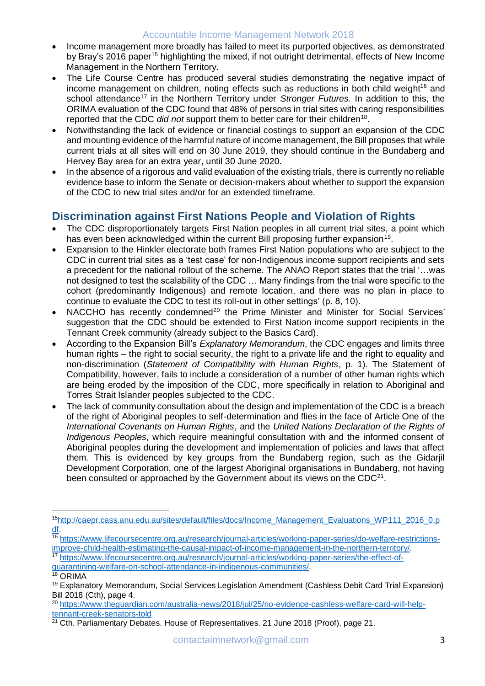#### Accountable Income Management Network 2018

- Income management more broadly has failed to meet its purported objectives, as demonstrated by Bray's 2016 paper<sup>15</sup> highlighting the mixed, if not outright detrimental, effects of New Income Management in the Northern Territory.
- The Life Course Centre has produced several studies demonstrating the negative impact of income management on children, noting effects such as reductions in both child weight<sup>16</sup> and school attendance<sup>17</sup> in the Northern Territory under *Stronger Futures*. In addition to this, the ORIMA evaluation of the CDC found that 48% of persons in trial sites with caring responsibilities reported that the CDC did not support them to better care for their children<sup>18</sup>.
- Notwithstanding the lack of evidence or financial costings to support an expansion of the CDC and mounting evidence of the harmful nature of income management, the Bill proposes that while current trials at all sites will end on 30 June 2019, they should continue in the Bundaberg and Hervey Bay area for an extra year, until 30 June 2020.
- In the absence of a rigorous and valid evaluation of the existing trials, there is currently no reliable evidence base to inform the Senate or decision-makers about whether to support the expansion of the CDC to new trial sites and/or for an extended timeframe.

#### **Discrimination against First Nations People and Violation of Rights**

- The CDC disproportionately targets First Nation peoples in all current trial sites, a point which has even been acknowledged within the current Bill proposing further expansion<sup>19</sup>.
- Expansion to the Hinkler electorate both frames First Nation populations who are subject to the CDC in current trial sites as a 'test case' for non-Indigenous income support recipients and sets a precedent for the national rollout of the scheme. The ANAO Report states that the trial '…was not designed to test the scalability of the CDC … Many findings from the trial were specific to the cohort (predominantly Indigenous) and remote location, and there was no plan in place to continue to evaluate the CDC to test its roll-out in other settings' (p. 8, 10).
- NACCHO has recently condemned<sup>20</sup> the Prime Minister and Minister for Social Services' suggestion that the CDC should be extended to First Nation income support recipients in the Tennant Creek community (already subject to the Basics Card).
- According to the Expansion Bill's *Explanatory Memorandum*, the CDC engages and limits three human rights – the right to social security, the right to a private life and the right to equality and non-discrimination (*Statement of Compatibility with Human Rights*, p. 1). The Statement of Compatibility, however, fails to include a consideration of a number of other human rights which are being eroded by the imposition of the CDC, more specifically in relation to Aboriginal and Torres Strait Islander peoples subjected to the CDC.
- The lack of community consultation about the design and implementation of the CDC is a breach of the right of Aboriginal peoples to self-determination and flies in the face of Article One of the *International Covenants on Human Rights*, and the *United Nations Declaration of the Rights of Indigenous Peoples*, which require meaningful consultation with and the informed consent of Aboriginal peoples during the development and implementation of policies and laws that affect them. This is evidenced by key groups from the Bundaberg region, such as the Gidarjil Development Corporation, one of the largest Aboriginal organisations in Bundaberg, not having been consulted or approached by the Government about its views on the CDC $^{21}$ .

 $\overline{a}$ 

<sup>15</sup>[http://caepr.cass.anu.edu.au/sites/default/files/docs/Income\\_Management\\_Evaluations\\_WP111\\_2016\\_0.p](http://caepr.cass.anu.edu.au/sites/default/files/docs/Income_Management_Evaluations_WP111_2016_0.pdf) [df.](http://caepr.cass.anu.edu.au/sites/default/files/docs/Income_Management_Evaluations_WP111_2016_0.pdf)

<sup>16</sup> [https://www.lifecoursecentre.org.au/research/journal-articles/working-paper-series/do-welfare-restrictions](https://www.lifecoursecentre.org.au/research/journal-articles/working-paper-series/do-welfare-restrictions-improve-child-health-estimating-the-causal-impact-of-income-management-in-the-northern-territory/)[improve-child-health-estimating-the-causal-impact-of-income-management-in-the-northern-territory/.](https://www.lifecoursecentre.org.au/research/journal-articles/working-paper-series/do-welfare-restrictions-improve-child-health-estimating-the-causal-impact-of-income-management-in-the-northern-territory/)

<sup>17</sup> [https://www.lifecoursecentre.org.au/research/journal-articles/working-paper-series/the-effect-of](https://www.lifecoursecentre.org.au/research/journal-articles/working-paper-series/the-effect-of-quarantining-welfare-on-school-attendance-in-indigenous-communities/)[quarantining-welfare-on-school-attendance-in-indigenous-communities/.](https://www.lifecoursecentre.org.au/research/journal-articles/working-paper-series/the-effect-of-quarantining-welfare-on-school-attendance-in-indigenous-communities/)

<sup>18</sup> ORIMA

<sup>19</sup> Explanatory Memorandum, Social Services Legislation Amendment (Cashless Debit Card Trial Expansion) Bill 2018 (Cth), page 4.

<sup>20</sup> [https://www.theguardian.com/australia-news/2018/jul/25/no-evidence-cashless-welfare-card-will-help](https://www.theguardian.com/australia-news/2018/jul/25/no-evidence-cashless-welfare-card-will-help-tennant-creek-senators-told)[tennant-creek-senators-told](https://www.theguardian.com/australia-news/2018/jul/25/no-evidence-cashless-welfare-card-will-help-tennant-creek-senators-told)

 $21$  Cth. Parliamentary Debates. House of Representatives. 21 June 2018 (Proof), page 21.